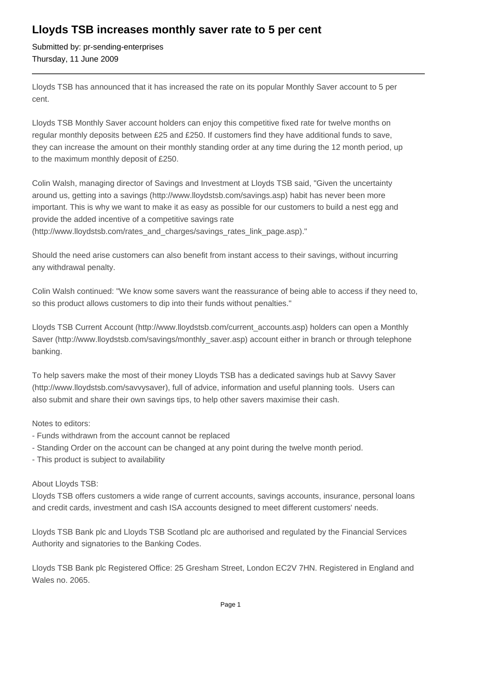## **Lloyds TSB increases monthly saver rate to 5 per cent**

Submitted by: pr-sending-enterprises Thursday, 11 June 2009

Lloyds TSB has announced that it has increased the rate on its popular Monthly Saver account to 5 per cent.

Lloyds TSB Monthly Saver account holders can enjoy this competitive fixed rate for twelve months on regular monthly deposits between £25 and £250. If customers find they have additional funds to save, they can increase the amount on their monthly standing order at any time during the 12 month period, up to the maximum monthly deposit of £250.

Colin Walsh, managing director of Savings and Investment at Lloyds TSB said, "Given the uncertainty around us, getting into a savings (http://www.lloydstsb.com/savings.asp) habit has never been more important. This is why we want to make it as easy as possible for our customers to build a nest egg and provide the added incentive of a competitive savings rate (http://www.lloydstsb.com/rates\_and\_charges/savings\_rates\_link\_page.asp)."

Should the need arise customers can also benefit from instant access to their savings, without incurring any withdrawal penalty.

Colin Walsh continued: "We know some savers want the reassurance of being able to access if they need to, so this product allows customers to dip into their funds without penalties."

Lloyds TSB Current Account (http://www.lloydstsb.com/current\_accounts.asp) holders can open a Monthly Saver (http://www.lloydstsb.com/savings/monthly\_saver.asp) account either in branch or through telephone banking.

To help savers make the most of their money Lloyds TSB has a dedicated savings hub at Savvy Saver (http://www.lloydstsb.com/savvysaver), full of advice, information and useful planning tools. Users can also submit and share their own savings tips, to help other savers maximise their cash.

Notes to editors:

- Funds withdrawn from the account cannot be replaced
- Standing Order on the account can be changed at any point during the twelve month period.
- This product is subject to availability

## About Lloyds TSB:

Lloyds TSB offers customers a wide range of current accounts, savings accounts, insurance, personal loans and credit cards, investment and cash ISA accounts designed to meet different customers' needs.

Lloyds TSB Bank plc and Lloyds TSB Scotland plc are authorised and regulated by the Financial Services Authority and signatories to the Banking Codes.

Lloyds TSB Bank plc Registered Office: 25 Gresham Street, London EC2V 7HN. Registered in England and Wales no. 2065.